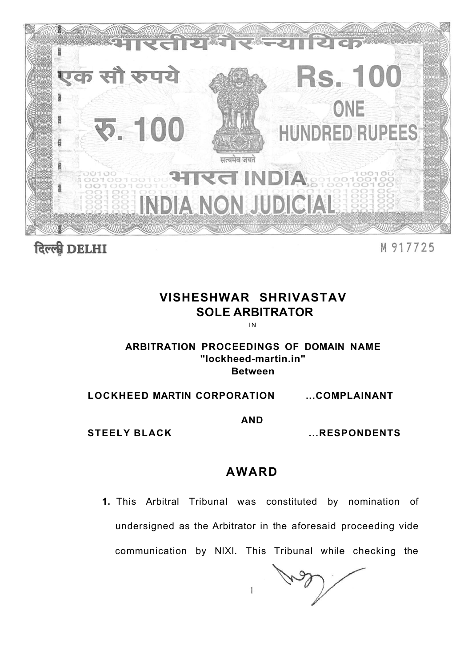

दिल्ली DELHI

M 917725

# **VISHESHWAR SHRIVASTAV SOLE ARBITRATOR**

IN

### **ARBITRATION PROCEEDINGS OF DOMAIN NAME "lockheed-martin.in" Between**

**LOCKHEED MARTIN CORPORATION ...COMPLAINANT** 

**AND** 

**STEELY BLACK ...RESPONDENTS** 

## **AWARD**

**1.** This Arbitral Tribunal was constituted by nomination of undersigned as the Arbitrator in the aforesaid proceeding vide communication by NIXI. This Tribunal while checking the

 $\mathbf{I}$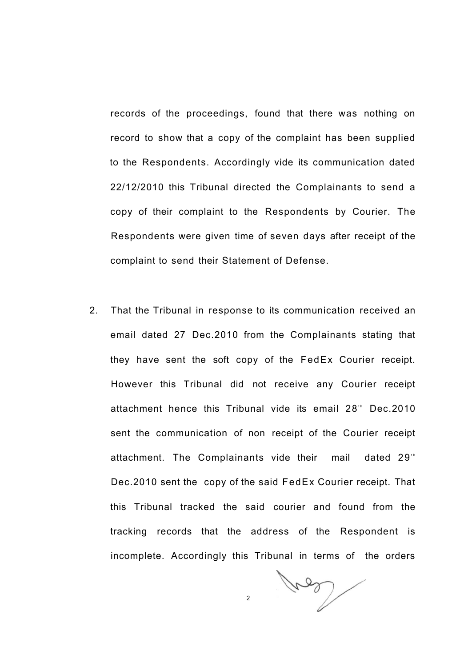records of the proceedings, found that there was nothing on record to show that a copy of the complaint has been supplied to the Respondents. Accordingly vide its communication dated 22/12/2010 this Tribunal directed the Complainants to send a copy of their complaint to the Respondents by Courier. The Respondents were given time of seven days after receipt of the complaint to send their Statement of Defense.

2. That the Tribunal in response to its communication received an email dated 27 Dec.2010 from the Complainants stating that they have sent the soft copy of the FedEx Courier receipt. However this Tribunal did not receive any Courier receipt attachment hence this Tribunal vide its email 28<sup>th</sup> Dec.2010 sent the communication of non receipt of the Courier receipt attachment. The Complainants vide their mail dated 29<sup>th</sup> Dec.2010 sent the copy of the said FedEx Courier receipt. That this Tribunal tracked the said courier and found from the tracking records that the address of the Respondent is incomplete. Accordingly this Tribunal in terms of the orders

Voor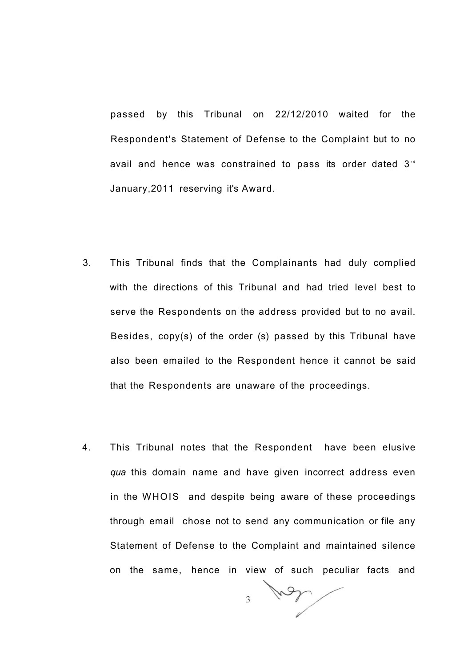passed by this Tribunal on 22/12/2010 waited for the Respondent's Statement of Defense to the Complaint but to no avail and hence was constrained to pass its order dated  $3<sup>rd</sup>$ January,2011 reserving it's Award.

- 3. This Tribunal finds that the Complainants had duly complied with the directions of this Tribunal and had tried level best to serve the Respondents on the address provided but to no avail. Besides, copy(s) of the order (s) passed by this Tribunal have also been emailed to the Respondent hence it cannot be said that the Respondents are unaware of the proceedings.
- 4. This Tribunal notes that the Respondent have been elusive *qua* this domain name and have given incorrect address even in the WHOIS and despite being aware of these proceedings through email chose not to send any communication or file any Statement of Defense to the Complaint and maintained silence on the same, hence in view of such peculiar facts and

Von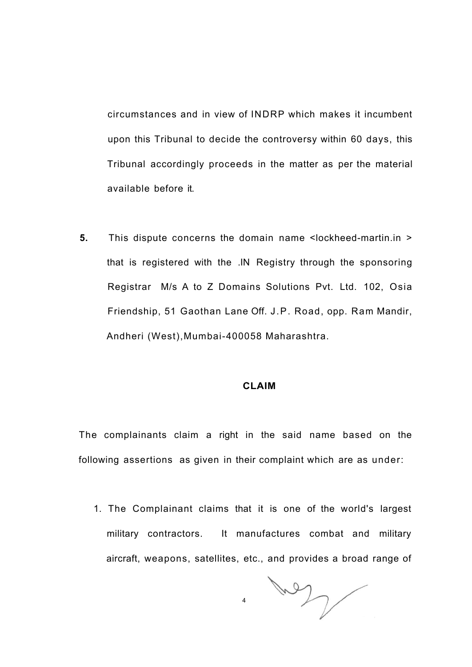circumstances and in view of INDRP which makes it incumbent upon this Tribunal to decide the controversy within 60 days, this Tribunal accordingly proceeds in the matter as per the material available before it.

**5.** This dispute concerns the domain name <lockheed-martin.in > that is registered with the .IN Registry through the sponsoring Registrar M/s A to Z Domains Solutions Pvt. Ltd. 102, Osia Friendship, 51 Gaothan Lane Off. J.P. Road, opp. Ram Mandir, Andheri (West),Mumbai-400058 Maharashtra.

#### **CLAIM**

The complainants claim a right in the said name based on the following assertions as given in their complaint which are as under:

1. The Complainant claims that it is one of the world's largest military contractors. It manufactures combat and military aircraft, weapons, satellites, etc., and provides a broad range of

WY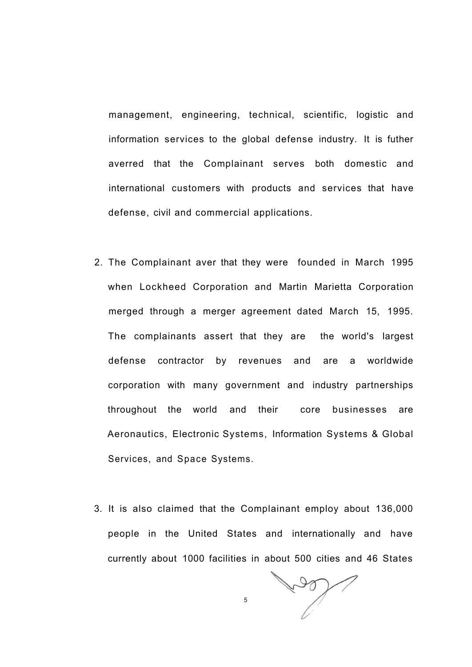management, engineering, technical, scientific, logistic and information services to the global defense industry. It is futher averred that the Complainant serves both domestic and international customers with products and services that have defense, civil and commercial applications.

- 2. The Complainant aver that they were founded in March 1995 when Lockheed Corporation and Martin Marietta Corporation merged through a merger agreement dated March 15, 1995. The complainants assert that they are the world's largest defense contractor by revenues and are a worldwide corporation with many government and industry partnerships throughout the world and their core businesses are Aeronautics, Electronic Systems, Information Systems & Global Services, and Space Systems.
- 3. It is also claimed that the Complainant employ about 136,000 people in the United States and internationally and have currently about 1000 facilities in about 500 cities and 46 States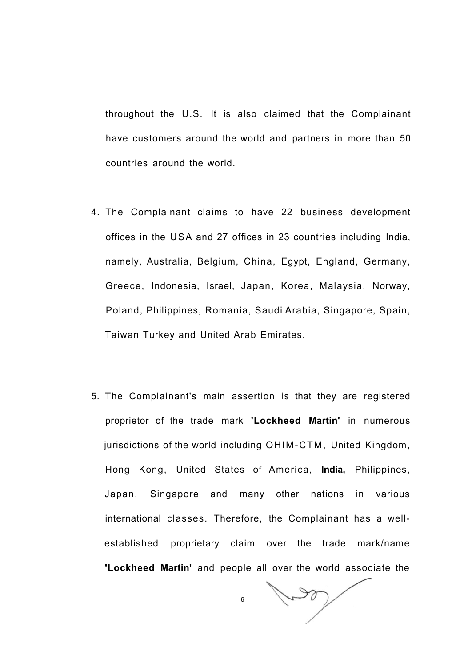throughout the U.S. It is also claimed that the Complainant have customers around the world and partners in more than 50 countries around the world.

- 4. The Complainant claims to have 22 business development offices in the USA and 27 offices in 23 countries including India, namely, Australia, Belgium, China, Egypt, England, Germany, Greece, Indonesia, Israel, Japan, Korea, Malaysia, Norway, Poland, Philippines, Romania, Saudi Arabia, Singapore, Spain, Taiwan Turkey and United Arab Emirates.
- 5. The Complainant's main assertion is that they are registered proprietor of the trade mark **'Lockheed Martin'** in numerous jurisdictions of the world including OHIM-CTM, United Kingdom, Hong Kong, United States of America, **India,** Philippines, Japan, Singapore and many other nations in various international classes. Therefore, the Complainant has a wellestablished proprietary claim over the trade mark/name **'Lockheed Martin'** and people all over the world associate the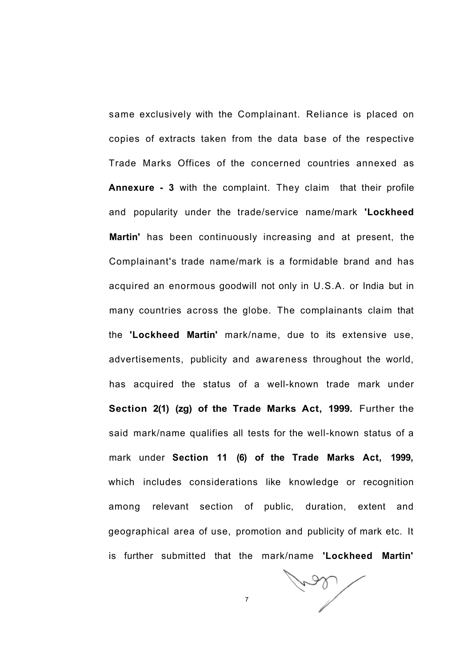same exclusively with the Complainant. Reliance is placed on copies of extracts taken from the data base of the respective Trade Marks Offices of the concerned countries annexed as **Annexure - 3** with the complaint. They claim that their profile and popularity under the trade/service name/mark **'Lockheed Martin'** has been continuously increasing and at present, the Complainant's trade name/mark is a formidable brand and has acquired an enormous goodwill not only in U.S.A. or India but in many countries across the globe. The complainants claim that the **'Lockheed Martin'** mark/name, due to its extensive use, advertisements, publicity and awareness throughout the world, has acquired the status of a well-known trade mark under **Section 2(1) (zg) of the Trade Marks Act, 1999.** Further the said mark/name qualifies all tests for the well-known status of a mark under **Section 11 (6) of the Trade Marks Act, 1999,**  which includes considerations like knowledge or recognition among relevant section of public, duration, extent and geographical area of use, promotion and publicity of mark etc. It is further submitted that the mark/name **'Lockheed Martin'** 

Com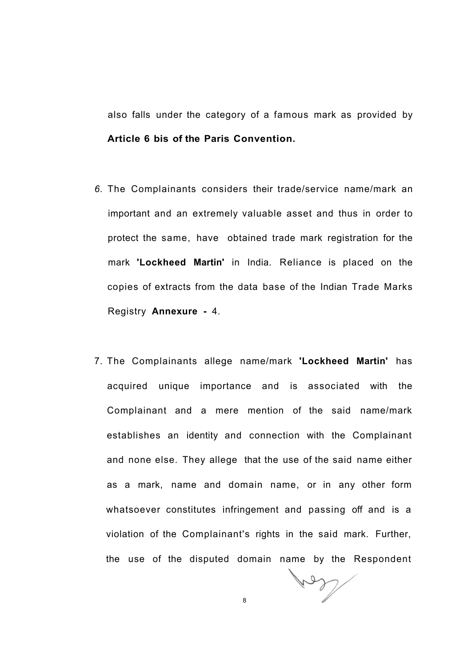also falls under the category of a famous mark as provided by **Article 6 bis of the Paris Convention.** 

- *6.* The Complainants considers their trade/service name/mark an important and an extremely valuable asset and thus in order to protect the same, have obtained trade mark registration for the mark **'Lockheed Martin'** in India. Reliance is placed on the copies of extracts from the data base of the Indian Trade Marks Registry **Annexure -** 4.
- 7. The Complainants allege name/mark **'Lockheed Martin'** has acquired unique importance and is associated with the Complainant and a mere mention of the said name/mark establishes an identity and connection with the Complainant and none else. They allege that the use of the said name either as a mark, name and domain name, or in any other form whatsoever constitutes infringement and passing off and is a violation of the Complainant's rights in the said mark. Further, the use of the disputed domain name by the Respondent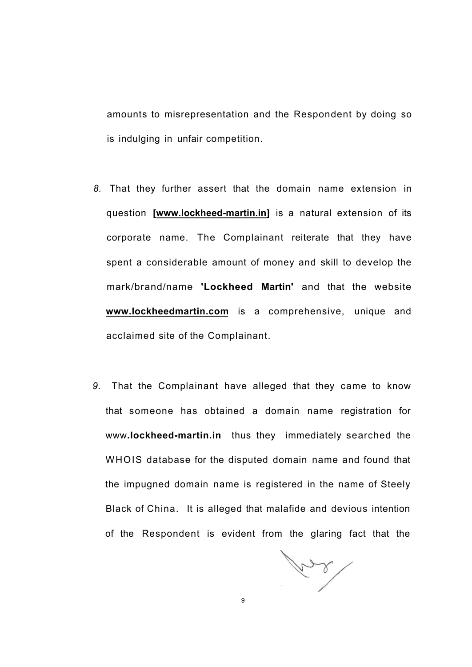amounts to misrepresentation and the Respondent by doing so is indulging in unfair competition.

- *8.* That they further assert that the domain name extension in question **[\[www.lockheed-martin.in\]](http://www.lockheed-martin.in)** is a natural extension of its corporate name. The Complainant reiterate that they have spent a considerable amount of money and skill to develop the mark/brand/name **'Lockheed Martin'** and that the website **[www.lockheedmartin.com](http://www.lockheedmartin.com)** is a comprehensive, unique and acclaimed site of the Complainant.
- *9.* That the Complainant have alleged that they came to know that someone has obtained a domain name registration for www**[.lockheed-martin.in](http://www.lockheed-martin.in)** thus they immediately searched the WHOIS database for the disputed domain name and found that the impugned domain name is registered in the name of Steely Black of China. It is alleged that malafide and devious intention of the Respondent is evident from the glaring fact that the

ford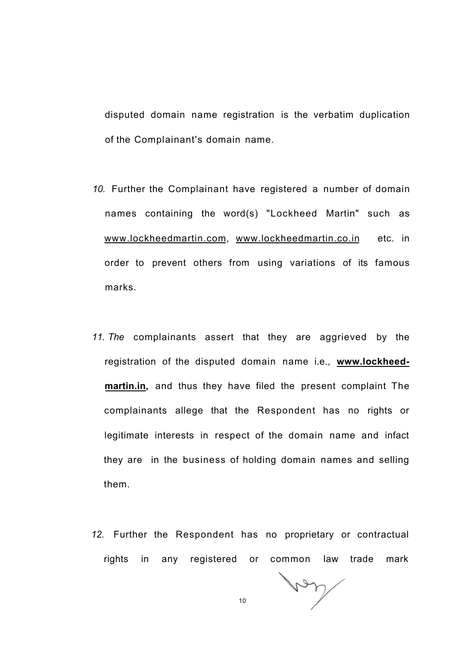disputed domain name registration is the verbatim duplication of the Complainant's domain name.

- *10.* Further the Complainant have registered a number of domain names containing the word(s) "Lockheed Martin" such as [www.lockheedmartin.com,](http://www.lockheedmartin.com) [www.lockheedmartin.co.in e](http://www.lockheedmartin.co.in)tc. in order to prevent others from using variations of its famous marks.
- *11. The* complainants assert that they are aggrieved by the registration of the disputed domain name i.e., **[www.lockheed](http://www.lockheed-)martin.in,** and thus they have filed the present complaint The complainants allege that the Respondent has no rights or legitimate interests in respect of the domain name and infact they are in the business of holding domain names and selling them.
- *12.* Further the Respondent has no proprietary or contractual rights in any registered or common law trade mark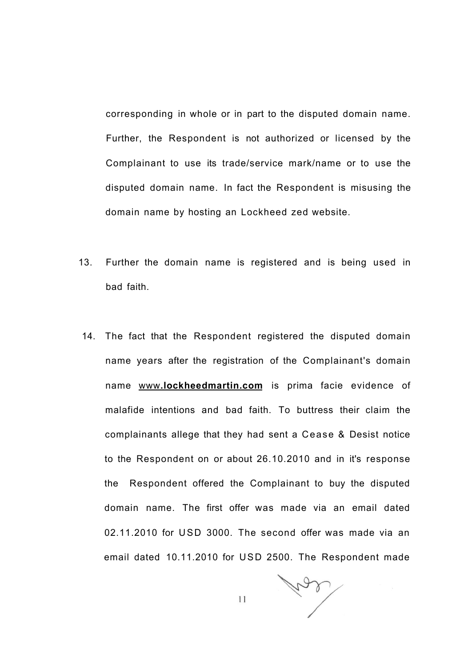corresponding in whole or in part to the disputed domain name. Further, the Respondent is not authorized or licensed by the Complainant to use its trade/service mark/name or to use the disputed domain name. In fact the Respondent is misusing the domain name by hosting an Lockheed zed website.

- 13. Further the domain name is registered and is being used in bad faith.
- 14. The fact that the Respondent registered the disputed domain name years after the registration of the Complainant's domain name www**[.lockheedmartin.com](http://www.lockheedmartin.com)** is prima facie evidence of malafide intentions and bad faith. To buttress their claim the complainants allege that they had sent a Cease & Desist notice to the Respondent on or about 26.10.2010 and in it's response the Respondent offered the Complainant to buy the disputed domain name. The first offer was made via an email dated 02.11.2010 for USD 3000. The second offer was made via an email dated 10.11.2010 for USD 2500. The Respondent made

har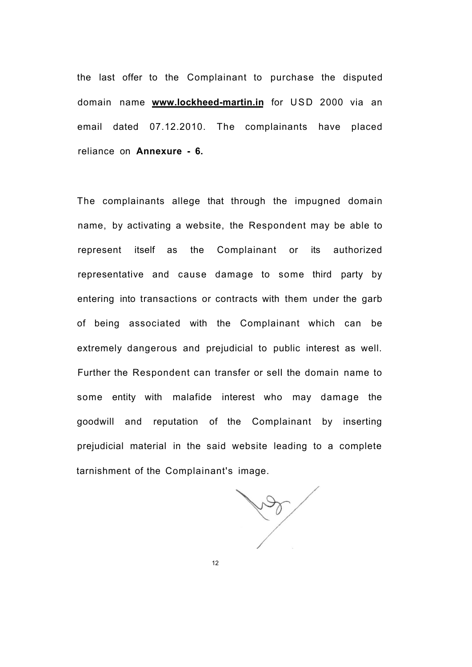the last offer to the Complainant to purchase the disputed domain name **[www.lockheed-martin.in](http://www.lockheed-martin.in)** for USD 2000 via an email dated 07.12.2010. The complainants have placed reliance on **Annexure - 6.** 

The complainants allege that through the impugned domain name, by activating a website, the Respondent may be able to represent itself as the Complainant or its authorized representative and cause damage to some third party by entering into transactions or contracts with them under the garb of being associated with the Complainant which can be extremely dangerous and prejudicial to public interest as well. Further the Respondent can transfer or sell the domain name to some entity with malafide interest who may damage the goodwill and reputation of the Complainant by inserting prejudicial material in the said website leading to a complete tarnishment of the Complainant's image.

**Port**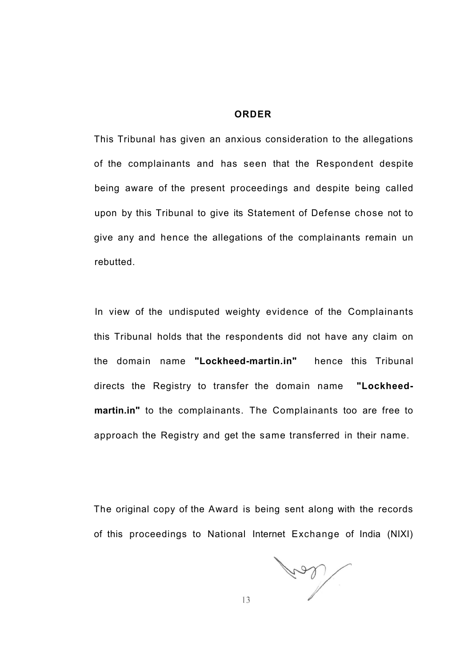#### **ORDER**

This Tribunal has given an anxious consideration to the allegations of the complainants and has seen that the Respondent despite being aware of the present proceedings and despite being called upon by this Tribunal to give its Statement of Defense chose not to give any and hence the allegations of the complainants remain un rebutted.

In view of the undisputed weighty evidence of the Complainants this Tribunal holds that the respondents did not have any claim on the domain name **"Lockheed-martin.in"** hence this Tribunal directs the Registry to transfer the domain name **"Lockheedmartin.in"** to the complainants. The Complainants too are free to approach the Registry and get the same transferred in their name.

The original copy of the Award is being sent along with the records of this proceedings to National Internet Exchange of India (NIXI)

Trad